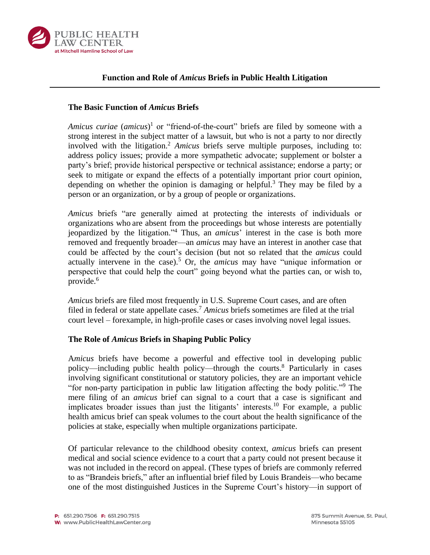

## **Function and Role of** *Amicus* **Briefs in Public Health Litigation**

## **The Basic Function of** *Amicus* **Briefs**

*Amicus curiae* (*amicus*) <sup>1</sup> or "friend-of-the-court" briefs are filed by someone with a strong interest in the subject matter of a lawsuit, but who is not a party to nor directly involved with the litigation.<sup>[2](#page-3-0)</sup> *Amicus* briefs serve multiple purposes, including to: address policy issues; provide a more sympathetic advocate; supplement or bolster a party's brief; provide historical perspective or technical assistance; endorse a party; or seek to mitigate or expand the effects of a potentially important prior court opinion, depending on whether the opinion is damaging or helpful.<sup>[3](#page-3-1)</sup> They may be filed by a person or an organization, or by a group of people or organizations.

*Amicus* briefs "are generally aimed at protecting the interests of individuals or organizations who are absent from the proceedings but whose interests are potentially jeopardized by the litigation."[4](#page-3-2) Thus, an *amicus*' interest in the case is both more removed and frequently broader—an *amicus* may have an interest in another case that could be affected by the court's decision (but not so related that the *amicus* could actually intervene in the case).[5](#page-3-3) Or, the *amicus* may have "unique information or perspective that could help the court" going beyond what the parties can, or wish to, provide[.](#page-3-4)<sup>6</sup>

*Amicus* briefs are filed most frequently in U.S. Supreme Court cases, and are often filed in federal or state appellate cases.[7](#page-3-5) *Amicus* briefs sometimes are filed at the trial court level – forexample, in high-profile cases or cases involving novel legal issues.

### **The Role of** *Amicus* **Briefs in Shaping Public Policy**

A*micus* briefs have become a powerful and effective tool in developing public policy—including public health policy—through the courts.[8](#page-3-6) Particularly in cases involving significant constitutional or statutory policies, they are an important vehicle "for non-party participation in public law litigation affecting the body politic."[9](#page-4-0) The mere filing of an *amicus* brief can signal to a court that a case is significant and implicates broader issues than just the litigants' interests.[10](#page-4-1) For example, a public health amicus brief can speak volumes to the court about the health significance of the policies at stake, especially when multiple organizations participate.

Of particular relevance to the childhood obesity context, *amicus* briefs can present medical and social science evidence to a court that a party could not present because it was not included in the record on appeal. (These types of briefs are commonly referred to as "Brandeis briefs," after an influential brief filed by Louis Brandeis—who became one of the most distinguished Justices in the Supreme Court's history—in support of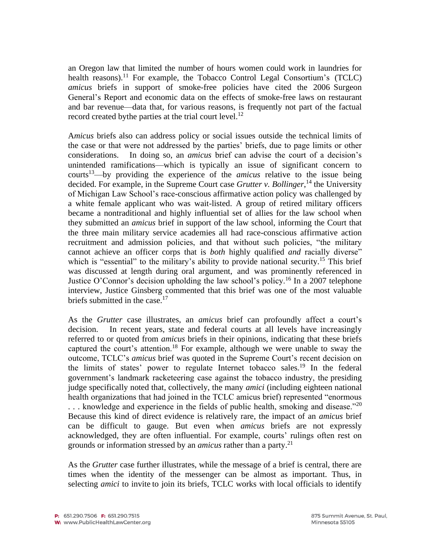an Oregon law that limited the number of hours women could work in laundries for health reasons).<sup>11</sup> For example, the Tobacco Control Legal Consortium's (TCLC) *amicus* briefs in support of smoke-free policies have cited the 2006 Surgeon General's Report and economic data on the effects of smoke-free laws on restaurant and bar revenue—data that, for various reasons, is frequently not part of the factual record created bythe parties at the trial court level.<sup>[12](#page-4-2)</sup>

A*micus* briefs also can address policy or social issues outside the technical limits of the case or that were not addressed by the parties' briefs, due to page limits or other considerations. In doing so, an *amicus* brief can advise the court of a decision's unintended ramifications—which is typically an issue of significant concern to courts[13](#page-4-3)—by providing the experience of the *amicus* relative to the issue being decided. For example, in the Supreme Court case *Grutter v. Bollinger*, [14](#page-4-4) the University of Michigan Law School's race-conscious affirmative action policy was challenged by a white female applicant who was wait-listed. A group of retired military officers became a nontraditional and highly influential set of allies for the law school when they submitted an *amicus* brief in support of the law school, informing the Court that the three main military service academies all had race-conscious affirmative action recruitment and admission policies, and that without such policies, "the military cannot achieve an officer corps that is *both* highly qualified *and* racially diverse" which is "essential" to the military's ability to provide national security.<sup>[15](#page-4-5)</sup> This brief was discussed at length during oral argument, and was prominently referenced in Justice O'Connor's decision upholding the law school's policy.[16](#page-4-6) In a 2007 telephone interview, Justice Ginsberg commented that this brief was one of the most valuable briefs submitted in the case. $17$ 

As the *Grutter* case illustrates, an *amicus* brief can profoundly affect a court's decision. In recent years, state and federal courts at all levels have increasingly referred to or quoted from *amicus* briefs in their opinions, indicating that these briefs captured the court's attention.[18](#page-4-8) For example, although we were unable to sway the outcome, TCLC's *amicus* brief was quoted in the Supreme Court's recent decision on the limits of states' power to regulate Internet tobacco sales.<sup>[19](#page-4-9)</sup> In the federal government's landmark racketeering case against the tobacco industry, the presiding judge specifically noted that, collectively, the many *amici* (including eighteen national health organizations that had joined in the TCLC amicus brief) represented "enormous ... knowledge and experience in the fields of public health, smoking and disease."<sup>[20](#page-4-10)</sup> Because this kind of direct evidence is relatively rare, the impact of an *amicus* brief can be difficult to gauge. But even when *amicus* briefs are not expressly acknowledged, they are often influential. For example, courts' rulings often rest on grounds or information stressed by an *amicus* rather than a party.[21](#page-4-11)

As the *Grutter* case further illustrates, while the message of a brief is central, there are times when the identity of the messenger can be almost as important. Thus, in selecting *amici* to invite to join its briefs, TCLC works with local officials to identify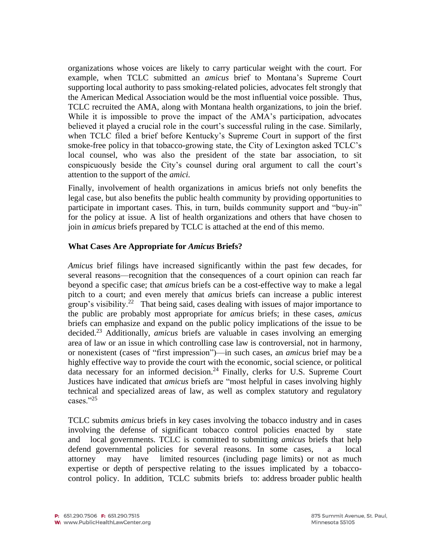organizations whose voices are likely to carry particular weight with the court. For example, when TCLC submitted an *amicus* brief to Montana's Supreme Court supporting local authority to pass smoking-related policies, advocates felt strongly that the American Medical Association would be the most influential voice possible. Thus, TCLC recruited the AMA, along with Montana health organizations, to join the brief. While it is impossible to prove the impact of the AMA's participation, advocates believed it played a crucial role in the court's successful ruling in the case. Similarly, when TCLC filed a brief before Kentucky's Supreme Court in support of the first smoke-free policy in that tobacco-growing state, the City of Lexington asked TCLC's local counsel, who was also the president of the state bar association, to sit conspicuously beside the City's counsel during oral argument to call the court's attention to the support of the *amici.*

Finally, involvement of health organizations in amicus briefs not only benefits the legal case, but also benefits the public health community by providing opportunities to participate in important cases. This, in turn, builds community support and "buy-in" for the policy at issue. A list of health organizations and others that have chosen to join in *amicus* briefs prepared by TCLC is attached at the end of this memo.

# **What Cases Are Appropriate for** *Amicus* **Briefs?**

*Amicus* brief filings have increased significantly within the past few decades, for several reasons—recognition that the consequences of a court opinion can reach far beyond a specific case; that *amicus* briefs can be a cost-effective way to make a legal pitch to a court; and even merely that *amicus* briefs can increase a public interest group's visibility.<sup>22</sup> That being said, cases dealing with issues of major importance to the public are probably most appropriate for *amicus* briefs; in these cases, *amicus*  briefs can emphasize and expand on the public policy implications of the issue to be decided.[23](#page-4-12) Additionally, *amicus* briefs are valuable in cases involving an emerging area of law or an issue in which controlling case law is controversial, not in harmony, or nonexistent (cases of "first impression")—in such cases, an *amicus* brief may be a highly effective way to provide the court with the economic, social science, or political data necessary for an informed decision.<sup>[24](#page-4-13)</sup> Finally, clerks for U.S. Supreme Court Justices have indicated that *amicus* briefs are "most helpful in cases involving highly technical and specialized areas of law, as well as complex statutory and regulatory cases."[25](#page-4-14)

TCLC submits *amicus* briefs in key cases involving the tobacco industry and in cases involving the defense of significant tobacco control policies enacted by state and local governments. TCLC is committed to submitting *amicus* briefs that help defend governmental policies for several reasons. In some cases, a local attorney may have limited resources (including page limits) or not as much expertise or depth of perspective relating to the issues implicated by a tobaccocontrol policy. In addition, TCLC submits briefs to: address broader public health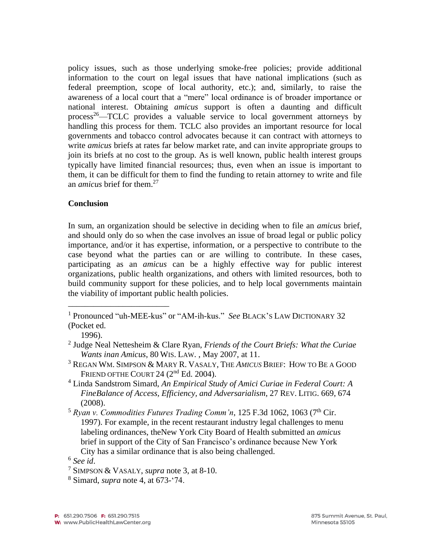policy issues, such as those underlying smoke-free policies; provide additional information to the court on legal issues that have national implications (such as federal preemption, scope of local authority, etc.); and, similarly, to raise the awareness of a local court that a "mere" local ordinance is of broader importance or national interest. Obtaining *amicus* support is often a daunting and difficult process<sup>[26](#page-4-15)</sup>—TCLC provides a valuable service to local government attorneys by handling this process for them. TCLC also provides an important resource for local governments and tobacco control advocates because it can contract with attorneys to write *amicus* briefs at rates far below market rate, and can invite appropriate groups to join its briefs at no cost to the group. As is well known, public health interest groups typically have limited financial resources; thus, even when an issue is important to them, it can be difficult for them to find the funding to retain attorney to write and file an *amicus* brief for them.[27](#page-4-16)

# **Conclusion**

In sum, an organization should be selective in deciding when to file an *amicus* brief, and should only do so when the case involves an issue of broad legal or public policy importance, and/or it has expertise, information, or a perspective to contribute to the case beyond what the parties can or are willing to contribute. In these cases, participating as an *amicus* can be a highly effective way for public interest organizations, public health organizations, and others with limited resources, both to build community support for these policies, and to help local governments maintain the viability of important public health policies.

\_\_\_\_\_\_\_\_\_\_\_\_\_\_\_\_\_\_\_\_\_\_\_\_

<sup>1</sup> Pronounced "uh-MEE-kus" or "AM-ih-kus." *See* BLACK'S LAW DICTIONARY 32 (Pocket ed.

<sup>1996).</sup>

<span id="page-3-0"></span><sup>2</sup> Judge Neal Nettesheim & Clare Ryan, *Friends of the Court Briefs: What the Curiae Wants inan Amicus*, 80 WIS. LAW. , May 2007, at 11.

<span id="page-3-1"></span><sup>3</sup> REGAN WM. SIMPSON & MARY R. VASALY, THE *AMICUS* BRIEF: HOW TO BE A GOOD FRIEND OFTHE COURT 24 (2<sup>nd</sup> Ed. 2004).

<span id="page-3-2"></span><sup>4</sup> Linda Sandstrom Simard, *An Empirical Study of Amici Curiae in Federal Court: A FineBalance of Access, Efficiency, and Adversarialism*, 27 REV. LITIG. 669, 674 (2008).

<span id="page-3-3"></span><sup>&</sup>lt;sup>5</sup> Ryan v. Commodities Futures Trading Comm'n, 125 F.3d 1062, 1063 (7<sup>th</sup> Cir. 1997). For example, in the recent restaurant industry legal challenges to menu labeling ordinances, theNew York City Board of Health submitted an *amicus*  brief in support of the City of San Francisco's ordinance because New York City has a similar ordinance that is also being challenged.

<span id="page-3-4"></span><sup>6</sup> *See id*.

<span id="page-3-5"></span><sup>7</sup> SIMPSON & VASALY, *supra* note 3, at 8-10.

<span id="page-3-6"></span><sup>8</sup> Simard, *supra* note 4, at 673-'74.